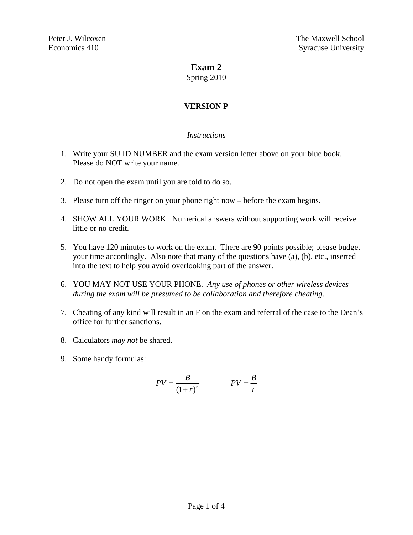### **Exam 2**

Spring 2010

# **VERSION P**

#### *Instructions*

- 1. Write your SU ID NUMBER and the exam version letter above on your blue book. Please do NOT write your name.
- 2. Do not open the exam until you are told to do so.
- 3. Please turn off the ringer on your phone right now before the exam begins.
- 4. SHOW ALL YOUR WORK. Numerical answers without supporting work will receive little or no credit.
- 5. You have 120 minutes to work on the exam. There are 90 points possible; please budget your time accordingly. Also note that many of the questions have (a), (b), etc., inserted into the text to help you avoid overlooking part of the answer.
- 6. YOU MAY NOT USE YOUR PHONE. *Any use of phones or other wireless devices during the exam will be presumed to be collaboration and therefore cheating.*
- 7. Cheating of any kind will result in an F on the exam and referral of the case to the Dean's office for further sanctions.
- 8. Calculators *may not* be shared.
- 9. Some handy formulas:

$$
PV = \frac{B}{(1+r)^t}
$$
 
$$
PV = \frac{B}{r}
$$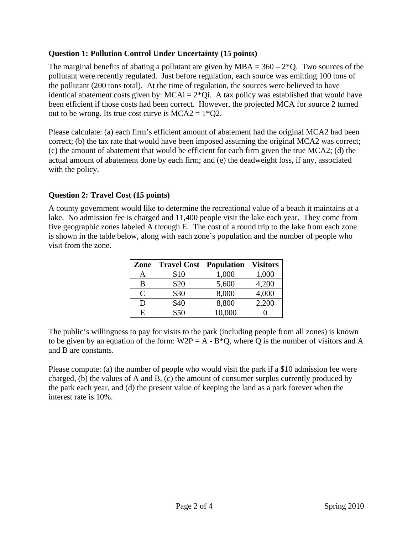#### **Question 1: Pollution Control Under Uncertainty (15 points)**

The marginal benefits of abating a pollutant are given by  $MBA = 360 - 2^*Q$ . Two sources of the pollutant were recently regulated. Just before regulation, each source was emitting 100 tons of the pollutant (200 tons total). At the time of regulation, the sources were believed to have identical abatement costs given by:  $MCAi = 2*Qi$ . A tax policy was established that would have been efficient if those costs had been correct. However, the projected MCA for source 2 turned out to be wrong. Its true cost curve is  $MCA2 = 1*Q2$ .

Please calculate: (a) each firm's efficient amount of abatement had the original MCA2 had been correct; (b) the tax rate that would have been imposed assuming the original MCA2 was correct; (c) the amount of abatement that would be efficient for each firm given the true MCA2; (d) the actual amount of abatement done by each firm; and (e) the deadweight loss, if any, associated with the policy.

## **Question 2: Travel Cost (15 points)**

A county government would like to determine the recreational value of a beach it maintains at a lake. No admission fee is charged and 11,400 people visit the lake each year. They come from five geographic zones labeled A through E. The cost of a round trip to the lake from each zone is shown in the table below, along with each zone's population and the number of people who visit from the zone.

| Zone | <b>Travel Cost</b> | <b>Population</b> | <b>Visitors</b> |
|------|--------------------|-------------------|-----------------|
| Α    | \$10               | 1,000             | 1,000           |
| B    | \$20               | 5,600             | 4,200           |
| C    | \$30               | 8,000             | 4,000           |
| D    | \$40               | 8,800             | 2,200           |
| E    | \$50               | 10,000            |                 |

The public's willingness to pay for visits to the park (including people from all zones) is known to be given by an equation of the form:  $W2P = A - B^*Q$ , where Q is the number of visitors and A and B are constants.

Please compute: (a) the number of people who would visit the park if a \$10 admission fee were charged, (b) the values of A and B, (c) the amount of consumer surplus currently produced by the park each year, and (d) the present value of keeping the land as a park forever when the interest rate is 10%.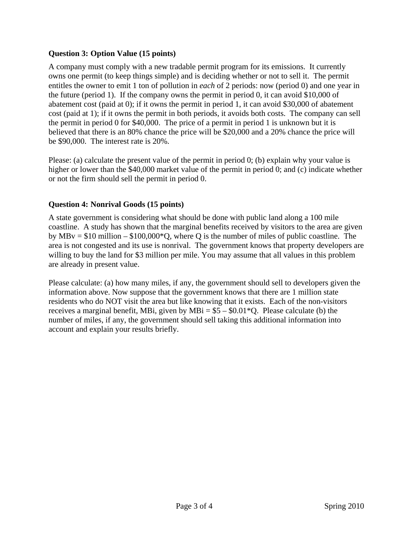### **Question 3: Option Value (15 points)**

A company must comply with a new tradable permit program for its emissions. It currently owns one permit (to keep things simple) and is deciding whether or not to sell it. The permit entitles the owner to emit 1 ton of pollution in *each* of 2 periods: now (period 0) and one year in the future (period 1). If the company owns the permit in period 0, it can avoid \$10,000 of abatement cost (paid at 0); if it owns the permit in period 1, it can avoid \$30,000 of abatement cost (paid at 1); if it owns the permit in both periods, it avoids both costs. The company can sell the permit in period 0 for \$40,000. The price of a permit in period 1 is unknown but it is believed that there is an 80% chance the price will be \$20,000 and a 20% chance the price will be \$90,000. The interest rate is 20%.

Please: (a) calculate the present value of the permit in period 0; (b) explain why your value is higher or lower than the \$40,000 market value of the permit in period 0; and (c) indicate whether or not the firm should sell the permit in period 0.

## **Question 4: Nonrival Goods (15 points)**

A state government is considering what should be done with public land along a 100 mile coastline. A study has shown that the marginal benefits received by visitors to the area are given by MBv =  $$10$  million –  $$100,000*$ Q, where Q is the number of miles of public coastline. The area is not congested and its use is nonrival. The government knows that property developers are willing to buy the land for \$3 million per mile. You may assume that all values in this problem are already in present value.

Please calculate: (a) how many miles, if any, the government should sell to developers given the information above. Now suppose that the government knows that there are 1 million state residents who do NOT visit the area but like knowing that it exists. Each of the non-visitors receives a marginal benefit, MBi, given by MBi =  $$5 - $0.01*$ Q. Please calculate (b) the number of miles, if any, the government should sell taking this additional information into account and explain your results briefly.